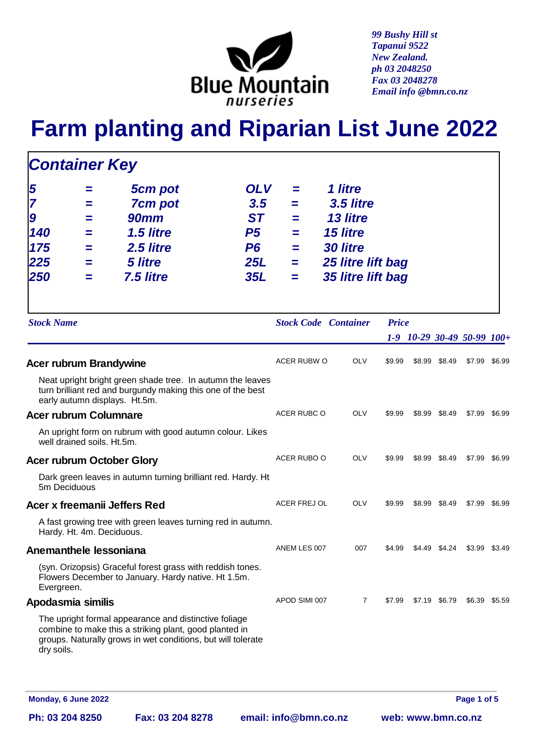

*99 Bushy Hill st Tapanui 9522 New Zealand. ph 03 2048250 Fax 03 2048278 Email info @bmn.co.nz*

## **Farm planting and Riparian List June 2022**

| <b>Container Key</b>                    |                              |                                                                                                                                                                                 |                                                                                    |                                 |                                                                                                           |              |        |               |                                      |               |
|-----------------------------------------|------------------------------|---------------------------------------------------------------------------------------------------------------------------------------------------------------------------------|------------------------------------------------------------------------------------|---------------------------------|-----------------------------------------------------------------------------------------------------------|--------------|--------|---------------|--------------------------------------|---------------|
| 5<br>7<br>9<br>140<br>175<br>225<br>250 | ═<br>═<br>═<br>$=$<br>═<br>═ | 5cm pot<br><b>7cm pot</b><br><b>90mm</b><br>1.5 litre<br>2.5 litre<br><b>5 litre</b><br>7.5 litre                                                                               | <b>OLV</b><br>3.5<br><b>ST</b><br><b>P5</b><br>P <sub>6</sub><br>25L<br><b>35L</b> | =<br>≕<br>=<br>=<br>═<br>=<br>H | 1 litre<br>3.5 litre<br>13 litre<br><b>15 litre</b><br>30 litre<br>25 litre lift bag<br>35 litre lift bag |              |        |               |                                      |               |
| <b>Stock Name</b>                       |                              |                                                                                                                                                                                 |                                                                                    |                                 | <b>Stock Code Container</b>                                                                               | <b>Price</b> |        |               | $1-9$ $10-29$ $30-49$ $50-99$ $100+$ |               |
| Acer rubrum Brandywine                  |                              |                                                                                                                                                                                 |                                                                                    | ACER RUBW O                     | <b>OLV</b>                                                                                                | \$9.99       |        | \$8.99 \$8.49 |                                      | \$7.99 \$6.99 |
|                                         |                              | Neat upright bright green shade tree. In autumn the leaves<br>turn brilliant red and burgundy making this one of the best<br>early autumn displays. Ht.5m.                      |                                                                                    |                                 |                                                                                                           |              |        |               |                                      |               |
| Acer rubrum Columnare                   |                              |                                                                                                                                                                                 |                                                                                    | ACER RUBC O                     | <b>OLV</b>                                                                                                | \$9.99       | \$8.99 | \$8.49        |                                      | \$7.99 \$6.99 |
| well drained soils. Ht.5m.              |                              | An upright form on rubrum with good autumn colour. Likes                                                                                                                        |                                                                                    |                                 |                                                                                                           |              |        |               |                                      |               |
| Acer rubrum October Glory               |                              |                                                                                                                                                                                 |                                                                                    | ACER RUBO O                     | <b>OLV</b>                                                                                                | \$9.99       |        | \$8.99 \$8.49 |                                      | \$7.99 \$6.99 |
| 5m Deciduous                            |                              | Dark green leaves in autumn turning brilliant red. Hardy. Ht                                                                                                                    |                                                                                    |                                 |                                                                                                           |              |        |               |                                      |               |
|                                         |                              | Acer x freemanii Jeffers Red                                                                                                                                                    |                                                                                    | ACER FREJ OL                    | <b>OLV</b>                                                                                                | \$9.99       | \$8.99 | \$8.49        | \$7.99                               | \$6.99        |
| Hardy. Ht. 4m. Deciduous.               |                              | A fast growing tree with green leaves turning red in autumn.                                                                                                                    |                                                                                    |                                 |                                                                                                           |              |        |               |                                      |               |
| Anemanthele lessoniana                  |                              |                                                                                                                                                                                 |                                                                                    | ANEM LES 007                    | 007                                                                                                       | \$4.99       |        | \$4.49 \$4.24 |                                      | \$3.99 \$3.49 |
| Evergreen.                              |                              | (syn. Orizopsis) Graceful forest grass with reddish tones.<br>Flowers December to January. Hardy native. Ht 1.5m.                                                               |                                                                                    |                                 |                                                                                                           |              |        |               |                                      |               |
| Apodasmia similis                       |                              |                                                                                                                                                                                 |                                                                                    | APOD SIMI 007                   | 7                                                                                                         | \$7.99       |        | \$7.19 \$6.79 |                                      | \$6.39 \$5.59 |
| dry soils.                              |                              | The upright formal appearance and distinctive foliage<br>combine to make this a striking plant, good planted in<br>groups. Naturally grows in wet conditions, but will tolerate |                                                                                    |                                 |                                                                                                           |              |        |               |                                      |               |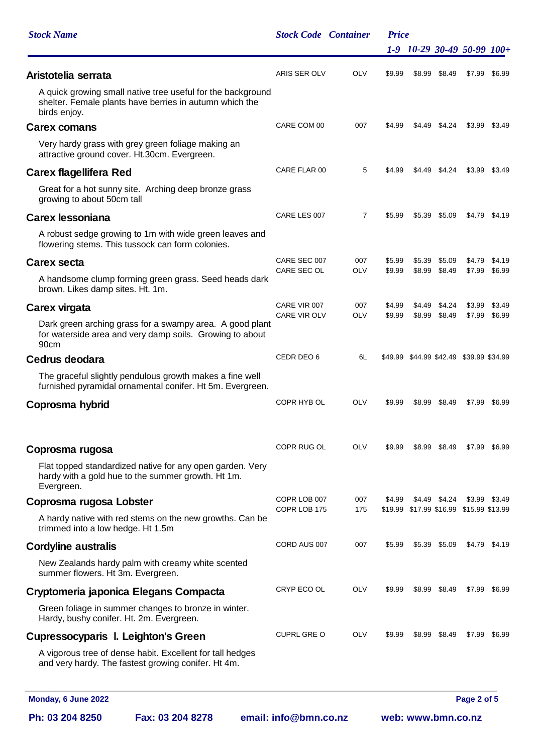| <b>Stock Name</b>                        |                                                                                                                        |                       | <b>Stock Code Container</b> | <b>Price</b> |                    |        |                                         |               |
|------------------------------------------|------------------------------------------------------------------------------------------------------------------------|-----------------------|-----------------------------|--------------|--------------------|--------|-----------------------------------------|---------------|
|                                          |                                                                                                                        |                       |                             |              |                    |        | 1-9 10-29 30-49 50-99 100+              |               |
| Aristotelia serrata                      |                                                                                                                        | ARIS SER OLV          | <b>OLV</b>                  | \$9.99       | \$8.99             | \$8.49 | \$7.99                                  | \$6.99        |
| birds enjoy.                             | A quick growing small native tree useful for the background<br>shelter. Female plants have berries in autumn which the |                       |                             |              |                    |        |                                         |               |
| Carex comans                             |                                                                                                                        | CARE COM 00           | 007                         | \$4.99       | \$4.49             | \$4.24 |                                         | \$3.99 \$3.49 |
|                                          | Very hardy grass with grey green foliage making an<br>attractive ground cover. Ht.30cm. Evergreen.                     |                       |                             |              |                    |        |                                         |               |
| Carex flagellifera Red                   |                                                                                                                        | CARE FLAR 00          | 5                           | \$4.99       | \$4.49             | \$4.24 | \$3.99                                  | \$3.49        |
| growing to about 50cm tall               | Great for a hot sunny site. Arching deep bronze grass                                                                  |                       |                             |              |                    |        |                                         |               |
| Carex lessoniana                         |                                                                                                                        | CARE LES 007          | 7                           | \$5.99       | \$5.39             | \$5.09 |                                         | \$4.79 \$4.19 |
|                                          | A robust sedge growing to 1m with wide green leaves and<br>flowering stems. This tussock can form colonies.            |                       |                             |              |                    |        |                                         |               |
| Carex secta                              |                                                                                                                        | CARE SEC 007          | 007                         | \$5.99       | \$5.39             | \$5.09 | \$4.79                                  | \$4.19        |
| brown. Likes damp sites. Ht. 1m.         | A handsome clump forming green grass. Seed heads dark                                                                  | CARE SEC OL           | OLV                         | \$9.99       | \$8.99             | \$8.49 | \$7.99                                  | \$6.99        |
| Carex virgata                            |                                                                                                                        | CARE VIR 007          | 007                         | \$4.99       | \$4.49             | \$4.24 | \$3.99                                  | \$3.49        |
| 90cm                                     | Dark green arching grass for a swampy area. A good plant<br>for waterside area and very damp soils. Growing to about   | <b>CARE VIR OLV</b>   | <b>OLV</b>                  | \$9.99       | \$8.99             | \$8.49 | \$7.99                                  | \$6.99        |
| Cedrus deodara                           |                                                                                                                        | CEDR DEO 6            | 6L                          |              |                    |        | \$49.99 \$44.99 \$42.49 \$39.99 \$34.99 |               |
|                                          | The graceful slightly pendulous growth makes a fine well<br>furnished pyramidal ornamental conifer. Ht 5m. Evergreen.  |                       |                             |              |                    |        |                                         |               |
| Coprosma hybrid                          |                                                                                                                        | COPR HYB OL           | <b>OLV</b>                  | \$9.99       | \$8.99             | \$8.49 | \$7.99                                  | \$6.99        |
| Coprosma rugosa                          |                                                                                                                        | COPR RUG OL           | <b>OLV</b>                  | \$9.99       | \$8.99             | \$8.49 | \$7.99                                  | \$6.99        |
| Evergreen.                               | Flat topped standardized native for any open garden. Very<br>hardy with a gold hue to the summer growth. Ht 1m.        |                       |                             |              |                    |        |                                         |               |
| Coprosma rugosa Lobster                  |                                                                                                                        | COPR LOB 007          | 007                         | \$4.99       | \$4.49             | \$4.24 | \$3.99                                  | \$3.49        |
| trimmed into a low hedge. Ht 1.5m        | A hardy native with red stems on the new growths. Can be                                                               | COPR LOB 175          | 175                         |              |                    |        | \$19.99 \$17.99 \$16.99 \$15.99 \$13.99 |               |
| Cordyline australis                      |                                                                                                                        | CORD AUS 007          | 007                         | \$5.99       | \$5.39             | \$5.09 |                                         | \$4.79 \$4.19 |
| summer flowers. Ht 3m. Evergreen.        | New Zealands hardy palm with creamy white scented                                                                      |                       |                             |              |                    |        |                                         |               |
|                                          | Cryptomeria japonica Elegans Compacta                                                                                  | CRYP ECO OL           | <b>OLV</b>                  | \$9.99       | \$8.99             | \$8.49 | \$7.99                                  | \$6.99        |
| Hardy, bushy conifer. Ht. 2m. Evergreen. | Green foliage in summer changes to bronze in winter.                                                                   |                       |                             |              |                    |        |                                         |               |
| Cupressocyparis I. Leighton's Green      |                                                                                                                        | <b>CUPRL GRE O</b>    | <b>OLV</b>                  | \$9.99       | \$8.99             | \$8.49 | \$7.99                                  | \$6.99        |
|                                          | A vigorous tree of dense habit. Excellent for tall hedges<br>and very hardy. The fastest growing conifer. Ht 4m.       |                       |                             |              |                    |        |                                         |               |
| Monday, 6 June 2022                      |                                                                                                                        |                       |                             |              |                    |        | Page 2 of 5                             |               |
| Ph: 03 204 8250                          | Fax: 03 204 8278                                                                                                       | email: info@bmn.co.nz |                             |              | web: www.bmn.co.nz |        |                                         |               |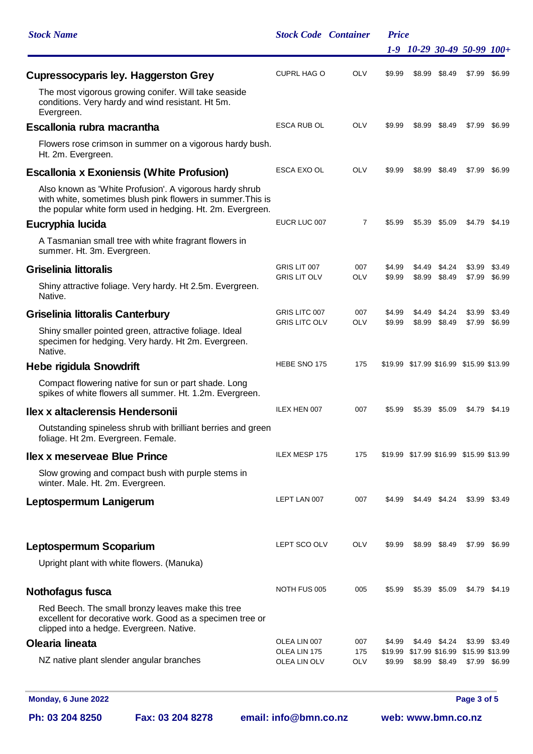| <b>Stock Name</b>                                                                                                                                                                    | <b>Stock Code Container</b>         |                   | <b>Price</b> |        |               |                                         |               |
|--------------------------------------------------------------------------------------------------------------------------------------------------------------------------------------|-------------------------------------|-------------------|--------------|--------|---------------|-----------------------------------------|---------------|
|                                                                                                                                                                                      |                                     |                   |              |        |               | 1-9 10-29 30-49 50-99 100+              |               |
| Cupressocyparis ley. Haggerston Grey                                                                                                                                                 | <b>CUPRL HAG O</b>                  | OLV               | \$9.99       | \$8.99 | \$8.49        | \$7.99                                  | \$6.99        |
| The most vigorous growing conifer. Will take seaside<br>conditions. Very hardy and wind resistant. Ht 5m.<br>Evergreen.                                                              |                                     |                   |              |        |               |                                         |               |
| Escallonia rubra macrantha                                                                                                                                                           | ESCA RUB OL                         | OLV               | \$9.99       | \$8.99 | \$8.49        | \$7.99                                  | \$6.99        |
| Flowers rose crimson in summer on a vigorous hardy bush.<br>Ht. 2m. Evergreen.                                                                                                       |                                     |                   |              |        |               |                                         |               |
| Escallonia x Exoniensis (White Profusion)                                                                                                                                            | <b>ESCA EXO OL</b>                  | OLV               | \$9.99       | \$8.99 | \$8.49        | \$7.99                                  | \$6.99        |
| Also known as 'White Profusion'. A vigorous hardy shrub<br>with white, sometimes blush pink flowers in summer. This is<br>the popular white form used in hedging. Ht. 2m. Evergreen. |                                     |                   |              |        |               |                                         |               |
| Eucryphia lucida                                                                                                                                                                     | EUCR LUC 007                        | $\overline{7}$    | \$5.99       |        | \$5.39 \$5.09 |                                         | \$4.79 \$4.19 |
| A Tasmanian small tree with white fragrant flowers in<br>summer. Ht. 3m. Evergreen.                                                                                                  |                                     |                   |              |        |               |                                         |               |
| Griselinia littoralis                                                                                                                                                                | GRIS LIT 007<br><b>GRIS LIT OLV</b> | 007<br><b>OLV</b> | \$4.99       | \$4.49 | \$4.24        | \$3.99                                  | \$3.49        |
| Shiny attractive foliage. Very hardy. Ht 2.5m. Evergreen.<br>Native.                                                                                                                 |                                     |                   | \$9.99       | \$8.99 | \$8.49        | \$7.99                                  | \$6.99        |
| Griselinia littoralis Canterbury                                                                                                                                                     | GRIS LITC 007                       | 007               | \$4.99       | \$4.49 | \$4.24        | \$3.99                                  | \$3.49        |
| Shiny smaller pointed green, attractive foliage. Ideal<br>specimen for hedging. Very hardy. Ht 2m. Evergreen.<br>Native.                                                             | <b>GRIS LITC OLV</b>                | OLV               | \$9.99       | \$8.99 | \$8.49        | \$7.99                                  | \$6.99        |
| Hebe rigidula Snowdrift                                                                                                                                                              | HEBE SNO 175                        | 175               |              |        |               | \$19.99 \$17.99 \$16.99 \$15.99 \$13.99 |               |
| Compact flowering native for sun or part shade. Long<br>spikes of white flowers all summer. Ht. 1.2m. Evergreen.                                                                     |                                     |                   |              |        |               |                                         |               |
| Ilex x altaclerensis Hendersonii                                                                                                                                                     | ILEX HEN 007                        | 007               | \$5.99       |        | \$5.39 \$5.09 |                                         | \$4.79 \$4.19 |
| Outstanding spineless shrub with brilliant berries and green<br>foliage. Ht 2m. Evergreen. Female.                                                                                   |                                     |                   |              |        |               |                                         |               |
| Ilex x meserveae Blue Prince                                                                                                                                                         | ILEX MESP 175                       | 175               |              |        |               | \$19.99 \$17.99 \$16.99 \$15.99 \$13.99 |               |
| Slow growing and compact bush with purple stems in<br>winter. Male. Ht. 2m. Evergreen.                                                                                               |                                     |                   |              |        |               |                                         |               |
| Leptospermum Lanigerum                                                                                                                                                               | LEPT LAN 007                        | 007               | \$4.99       |        | \$4.49 \$4.24 |                                         | \$3.99 \$3.49 |
| Leptospermum Scoparium                                                                                                                                                               | LEPT SCO OLV                        | OLV               | \$9.99       |        | \$8.99 \$8.49 |                                         | \$7.99 \$6.99 |
| Upright plant with white flowers. (Manuka)                                                                                                                                           |                                     |                   |              |        |               |                                         |               |
| Nothofagus fusca                                                                                                                                                                     | NOTH FUS 005                        | 005               | \$5.99       |        | \$5.39 \$5.09 |                                         | \$4.79 \$4.19 |
| Red Beech. The small bronzy leaves make this tree<br>excellent for decorative work. Good as a specimen tree or<br>clipped into a hedge. Evergreen. Native.                           |                                     |                   |              |        |               |                                         |               |
| Olearia lineata                                                                                                                                                                      | OLEA LIN 007<br>OLEA LIN 175        | 007<br>175        | \$4.99       |        | \$4.49 \$4.24 | \$19.99 \$17.99 \$16.99 \$15.99 \$13.99 | \$3.99 \$3.49 |
| NZ native plant slender angular branches                                                                                                                                             | OLEA LIN OLV                        | OLV               | \$9.99       |        | \$8.99 \$8.49 |                                         | \$7.99 \$6.99 |
| Monday, 6 June 2022                                                                                                                                                                  |                                     |                   |              |        |               | Page 3 of 5                             |               |

**Ph: 03 204 8250 Fax: 03 204 8278 email: info@bmn.co.nz web: www.bmn.co.nz**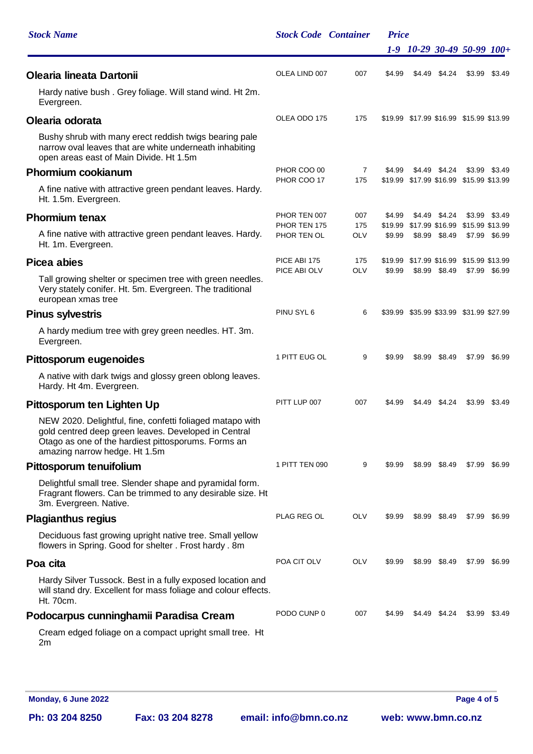| <b>Stock Name</b>                                                                                                                                                                                         | <b>Stock Code Container</b> |                       | <b>Price</b> |  |               |                                                   |               |
|-----------------------------------------------------------------------------------------------------------------------------------------------------------------------------------------------------------|-----------------------------|-----------------------|--------------|--|---------------|---------------------------------------------------|---------------|
|                                                                                                                                                                                                           |                             |                       |              |  |               | $1-9$ $10-29$ $30-49$ $50-99$ $100+$              |               |
| Olearia lineata Dartonii                                                                                                                                                                                  | OLEA LIND 007               | 007                   | \$4.99       |  | \$4.49 \$4.24 | \$3.99                                            | \$3.49        |
| Hardy native bush. Grey foliage. Will stand wind. Ht 2m.<br>Evergreen.                                                                                                                                    |                             |                       |              |  |               |                                                   |               |
| Olearia odorata                                                                                                                                                                                           | OLEA ODO 175                | 175                   |              |  |               | \$19.99 \$17.99 \$16.99 \$15.99 \$13.99           |               |
| Bushy shrub with many erect reddish twigs bearing pale<br>narrow oval leaves that are white underneath inhabiting<br>open areas east of Main Divide. Ht 1.5m                                              |                             |                       |              |  |               |                                                   |               |
| Phormium cookianum                                                                                                                                                                                        | PHOR COO 00<br>PHOR COO 17  | $\overline{7}$<br>175 | \$4.99       |  | \$4.49 \$4.24 | \$3.99<br>\$19.99 \$17.99 \$16.99 \$15.99 \$13.99 | \$3.49        |
| A fine native with attractive green pendant leaves. Hardy.<br>Ht. 1.5m. Evergreen.                                                                                                                        |                             |                       |              |  |               |                                                   |               |
| Phormium tenax                                                                                                                                                                                            | PHOR TEN 007                | 007                   | \$4.99       |  | \$4.49 \$4.24 |                                                   | \$3.99 \$3.49 |
| A fine native with attractive green pendant leaves. Hardy.                                                                                                                                                | PHOR TEN 175<br>PHOR TEN OL | 175<br><b>OLV</b>     | \$9.99       |  | \$8.99 \$8.49 | \$19.99 \$17.99 \$16.99 \$15.99 \$13.99           | \$7.99 \$6.99 |
| Ht. 1m. Evergreen.                                                                                                                                                                                        |                             |                       |              |  |               |                                                   |               |
| Picea abies                                                                                                                                                                                               | PICE ABI 175                | 175                   |              |  |               | \$19.99 \$17.99 \$16.99 \$15.99 \$13.99           |               |
| Tall growing shelter or specimen tree with green needles.<br>Very stately conifer. Ht. 5m. Evergreen. The traditional<br>european xmas tree                                                               | PICE ABI OLV                | <b>OLV</b>            | \$9.99       |  | \$8.99 \$8.49 |                                                   | \$7.99 \$6.99 |
| Pinus sylvestris                                                                                                                                                                                          | PINU SYL 6                  | 6                     |              |  |               | \$39.99 \$35.99 \$33.99 \$31.99 \$27.99           |               |
| A hardy medium tree with grey green needles. HT. 3m.<br>Evergreen.                                                                                                                                        |                             |                       |              |  |               |                                                   |               |
| Pittosporum eugenoides                                                                                                                                                                                    | 1 PITT EUG OL               | 9                     | \$9.99       |  | \$8.99 \$8.49 |                                                   | \$7.99 \$6.99 |
| A native with dark twigs and glossy green oblong leaves.<br>Hardy. Ht 4m. Evergreen.                                                                                                                      |                             |                       |              |  |               |                                                   |               |
| Pittosporum ten Lighten Up                                                                                                                                                                                | PITT LUP 007                | 007                   | \$4.99       |  | \$4.49 \$4.24 | \$3.99                                            | \$3.49        |
| NEW 2020. Delightful, fine, confetti foliaged matapo with<br>gold centred deep green leaves. Developed in Central<br>Otago as one of the hardiest pittosporums. Forms an<br>amazing narrow hedge. Ht 1.5m |                             |                       |              |  |               |                                                   |               |
| Pittosporum tenuifolium                                                                                                                                                                                   | 1 PITT TEN 090              | 9                     | \$9.99       |  | \$8.99 \$8.49 |                                                   | \$7.99 \$6.99 |
| Delightful small tree. Slender shape and pyramidal form.<br>Fragrant flowers. Can be trimmed to any desirable size. Ht<br>3m. Evergreen. Native.                                                          |                             |                       |              |  |               |                                                   |               |
| Plagianthus regius                                                                                                                                                                                        | PLAG REG OL                 | OLV                   | \$9.99       |  | \$8.99 \$8.49 | \$7.99                                            | \$6.99        |
| Deciduous fast growing upright native tree. Small yellow<br>flowers in Spring. Good for shelter. Frost hardy. 8m                                                                                          |                             |                       |              |  |               |                                                   |               |
| Poa cita                                                                                                                                                                                                  | POA CIT OLV                 | OLV                   | \$9.99       |  | \$8.99 \$8.49 |                                                   | \$7.99 \$6.99 |
| Hardy Silver Tussock. Best in a fully exposed location and<br>will stand dry. Excellent for mass foliage and colour effects.<br>Ht. 70cm.                                                                 |                             |                       |              |  |               |                                                   |               |
| Podocarpus cunninghamii Paradisa Cream                                                                                                                                                                    | PODO CUNP 0                 | 007                   | \$4.99       |  | \$4.49 \$4.24 | \$3.99                                            | \$3.49        |
| Cream edged foliage on a compact upright small tree. Ht<br>2m                                                                                                                                             |                             |                       |              |  |               |                                                   |               |